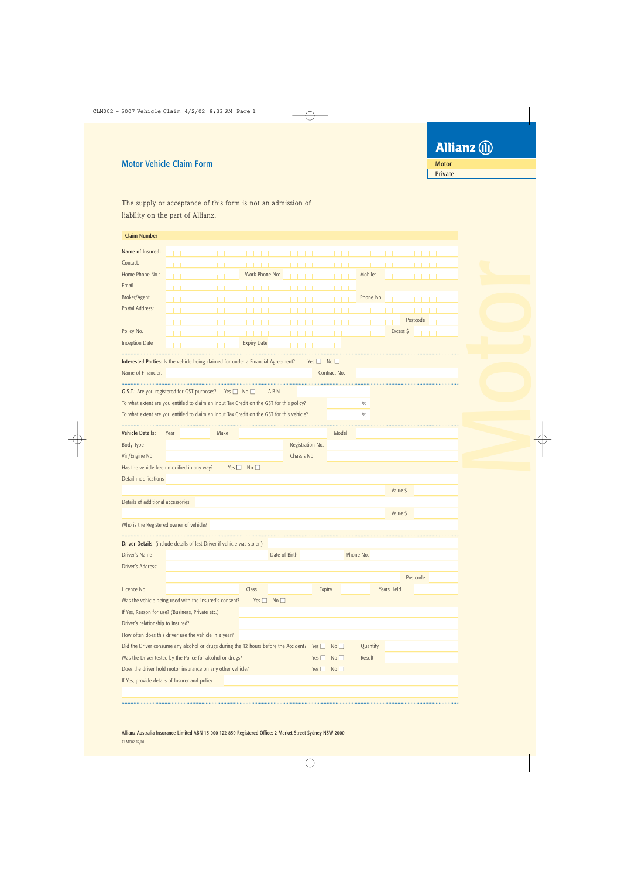## Motor Vehicle Claim Form

The supply or acceptance of this form is not an admission of liability on the part of Allianz.

| <b>Claim Number</b>                                                                    |                                                                                                                         |                    |                      |                    |                    |                      |           |            |          |
|----------------------------------------------------------------------------------------|-------------------------------------------------------------------------------------------------------------------------|--------------------|----------------------|--------------------|--------------------|----------------------|-----------|------------|----------|
| Name of Insured:                                                                       |                                                                                                                         |                    |                      |                    |                    |                      |           |            |          |
| Contact:                                                                               |                                                                                                                         |                    |                      |                    |                    |                      |           |            |          |
| Home Phone No.:                                                                        |                                                                                                                         |                    | Work Phone No:       |                    |                    |                      | Mobile:   |            |          |
| Email                                                                                  |                                                                                                                         |                    |                      |                    |                    |                      |           |            |          |
| Broker/Agent                                                                           |                                                                                                                         |                    |                      |                    |                    |                      | Phone No: |            |          |
| Postal Address:                                                                        |                                                                                                                         |                    |                      |                    |                    |                      |           |            |          |
|                                                                                        |                                                                                                                         |                    |                      |                    |                    |                      |           |            | Postcode |
| Policy No.                                                                             |                                                                                                                         |                    |                      |                    |                    |                      |           | Excess \$  |          |
| <b>Inception Date</b>                                                                  |                                                                                                                         |                    | <b>Expiry Date</b>   |                    |                    |                      |           |            |          |
|                                                                                        |                                                                                                                         |                    |                      |                    |                    |                      |           |            |          |
|                                                                                        | Interested Parties: Is the vehicle being claimed for under a Financial Agreement?                                       |                    |                      |                    | $Yes \Box No \Box$ |                      |           |            |          |
| Name of Financier:                                                                     |                                                                                                                         |                    |                      |                    |                    | Contract No:         |           |            |          |
|                                                                                        | G.S.T.: Are you registered for GST purposes?                                                                            | $Yes \Box No \Box$ |                      | A.B.N.:            |                    |                      |           |            |          |
|                                                                                        | To what extent are you entitled to claim an Input Tax Credit on the GST for this policy?                                |                    |                      |                    |                    |                      | 0/0       |            |          |
|                                                                                        | To what extent are you entitled to claim an Input Tax Credit on the GST for this vehicle?                               |                    |                      |                    |                    |                      | 0/0       |            |          |
|                                                                                        |                                                                                                                         |                    |                      |                    |                    |                      |           |            |          |
| <b>Vehicle Details:</b>                                                                | Year                                                                                                                    | Make               |                      |                    |                    | Model                |           |            |          |
| Body Type                                                                              |                                                                                                                         |                    |                      | Registration No.   |                    |                      |           |            |          |
| Vin/Engine No.                                                                         |                                                                                                                         |                    |                      | Chassis No.        |                    |                      |           |            |          |
|                                                                                        | Has the vehicle been modified in any way?                                                                               |                    | Yes $\Box$ No $\Box$ |                    |                    |                      |           |            |          |
| Detail modifications                                                                   |                                                                                                                         |                    |                      |                    |                    |                      |           |            |          |
|                                                                                        |                                                                                                                         |                    |                      |                    |                    |                      |           | Value \$   |          |
| Details of additional accessories                                                      |                                                                                                                         |                    |                      |                    |                    |                      |           |            |          |
|                                                                                        |                                                                                                                         |                    |                      |                    |                    |                      |           | Value \$   |          |
|                                                                                        | Who is the Registered owner of vehicle?                                                                                 |                    |                      |                    |                    |                      |           |            |          |
|                                                                                        |                                                                                                                         |                    |                      |                    |                    |                      |           |            |          |
|                                                                                        |                                                                                                                         |                    |                      |                    |                    |                      |           |            |          |
|                                                                                        | Driver Details: (include details of last Driver if vehicle was stolen)                                                  |                    |                      |                    |                    |                      |           |            |          |
|                                                                                        |                                                                                                                         |                    |                      | Date of Birth      |                    |                      | Phone No. |            |          |
|                                                                                        |                                                                                                                         |                    |                      |                    |                    |                      |           |            |          |
|                                                                                        |                                                                                                                         |                    | Class                |                    |                    |                      |           | Years Held | Postcode |
|                                                                                        |                                                                                                                         |                    |                      | $Yes \Box No \Box$ | Expiry             |                      |           |            |          |
|                                                                                        | Was the vehicle being used with the Insured's consent?                                                                  |                    |                      |                    |                    |                      |           |            |          |
|                                                                                        | If Yes, Reason for use? (Business, Private etc.)                                                                        |                    |                      |                    |                    |                      |           |            |          |
|                                                                                        |                                                                                                                         |                    |                      |                    |                    |                      |           |            |          |
|                                                                                        | How often does this driver use the vehicle in a year?                                                                   |                    |                      |                    | Yes $\Box$         | No                   |           |            |          |
|                                                                                        | Did the Driver consume any alcohol or drugs during the 12 hours before the Accident?                                    |                    |                      |                    |                    | No                   | Quantity  |            |          |
| Driver's Name<br>Driver's Address:<br>Licence No.<br>Driver's relationship to Insured? | Was the Driver tested by the Police for alcohol or drugs?<br>Does the driver hold motor insurance on any other vehicle? |                    |                      |                    | Yes $\Box$         | Yes $\Box$ No $\Box$ | Result    |            |          |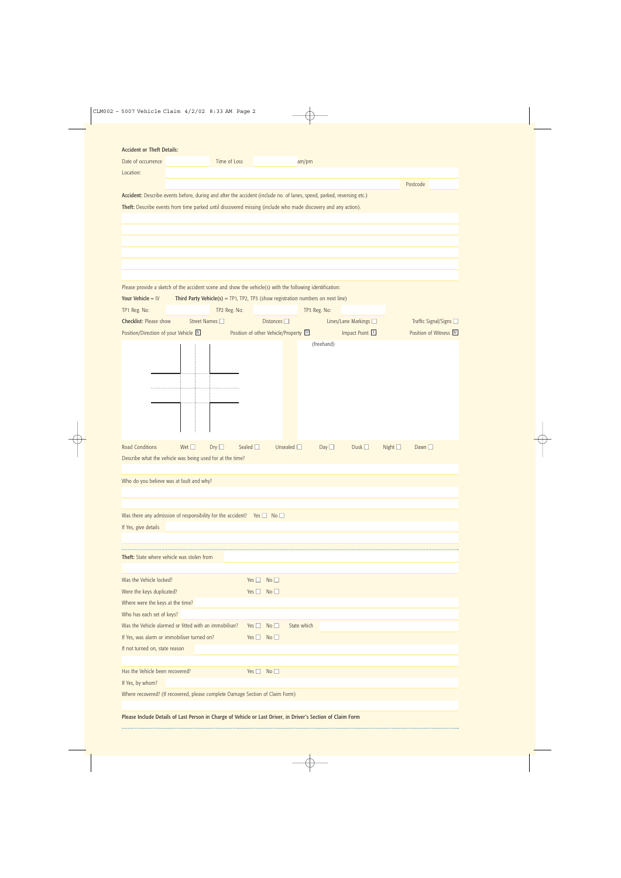| <b>Accident or Theft Details:</b>                                                                                     |                |                                                                                     |                      |                                       |             |              |                       |                 |                        |
|-----------------------------------------------------------------------------------------------------------------------|----------------|-------------------------------------------------------------------------------------|----------------------|---------------------------------------|-------------|--------------|-----------------------|-----------------|------------------------|
| Date of occurrence                                                                                                    |                | Time of Loss                                                                        |                      |                                       | am/pm       |              |                       |                 |                        |
| Location:                                                                                                             |                |                                                                                     |                      |                                       |             |              |                       |                 |                        |
|                                                                                                                       |                |                                                                                     |                      |                                       |             |              |                       |                 | Postcode               |
| Accident: Describe events before, during and after the accident (include no. of lanes, speed, parked, reversing etc.) |                |                                                                                     |                      |                                       |             |              |                       |                 |                        |
| Theft: Describe events from time parked until discovered missing (include who made discovery and any action).         |                |                                                                                     |                      |                                       |             |              |                       |                 |                        |
|                                                                                                                       |                |                                                                                     |                      |                                       |             |              |                       |                 |                        |
|                                                                                                                       |                |                                                                                     |                      |                                       |             |              |                       |                 |                        |
|                                                                                                                       |                |                                                                                     |                      |                                       |             |              |                       |                 |                        |
|                                                                                                                       |                |                                                                                     |                      |                                       |             |              |                       |                 |                        |
|                                                                                                                       |                |                                                                                     |                      |                                       |             |              |                       |                 |                        |
|                                                                                                                       |                |                                                                                     |                      |                                       |             |              |                       |                 |                        |
|                                                                                                                       |                |                                                                                     |                      |                                       |             |              |                       |                 |                        |
| Please provide a sketch of the accident scene and show the vehicle(s) with the following identification:              |                |                                                                                     |                      |                                       |             |              |                       |                 |                        |
| Your Vehicle = $IV$                                                                                                   |                | Third Party Vehicle( $s$ ) = TP1, TP2, TP3 (show registration numbers on next line) |                      |                                       |             |              |                       |                 |                        |
| TP1 Reg. No:                                                                                                          |                | TP2 Reg. No:                                                                        |                      |                                       |             | TP3 Reg. No: |                       |                 |                        |
| <b>Checklist: Please show</b>                                                                                         | Street Names □ |                                                                                     |                      | Distances $\square$                   |             |              | Lines/Lane Markings □ |                 | Traffic Signal/Signs □ |
| Position/Direction of your Vehicle M                                                                                  |                |                                                                                     |                      | Position of other Vehicle/Property IP |             |              | Impact Point X        |                 | Position of Witness M  |
|                                                                                                                       |                |                                                                                     |                      |                                       |             | (freehand)   |                       |                 |                        |
|                                                                                                                       |                |                                                                                     |                      |                                       |             |              |                       |                 |                        |
|                                                                                                                       |                |                                                                                     |                      |                                       |             |              |                       |                 |                        |
|                                                                                                                       |                |                                                                                     |                      |                                       |             |              |                       |                 |                        |
|                                                                                                                       |                |                                                                                     |                      |                                       |             |              |                       |                 |                        |
|                                                                                                                       |                |                                                                                     |                      |                                       |             |              |                       |                 |                        |
|                                                                                                                       |                |                                                                                     |                      |                                       |             |              |                       |                 |                        |
|                                                                                                                       |                |                                                                                     |                      |                                       |             |              |                       |                 |                        |
|                                                                                                                       |                |                                                                                     |                      |                                       |             |              |                       |                 |                        |
| <b>Road Conditions</b>                                                                                                | Wet $\square$  | Sealed $\square$<br>Dry                                                             |                      | Unsealed $\square$                    |             | Day          | Dusk $\square$        | Night $\square$ | Dawn $\square$         |
|                                                                                                                       |                |                                                                                     |                      |                                       |             |              |                       |                 |                        |
| Describe what the vehicle was being used for at the time?                                                             |                |                                                                                     |                      |                                       |             |              |                       |                 |                        |
|                                                                                                                       |                |                                                                                     |                      |                                       |             |              |                       |                 |                        |
| Who do you believe was at fault and why?                                                                              |                |                                                                                     |                      |                                       |             |              |                       |                 |                        |
|                                                                                                                       |                |                                                                                     |                      |                                       |             |              |                       |                 |                        |
|                                                                                                                       |                |                                                                                     |                      |                                       |             |              |                       |                 |                        |
| Was there any admission of responsibility for the accident? Yes $\Box$ No $\Box$                                      |                |                                                                                     |                      |                                       |             |              |                       |                 |                        |
| If Yes, give details                                                                                                  |                |                                                                                     |                      |                                       |             |              |                       |                 |                        |
|                                                                                                                       |                |                                                                                     |                      |                                       |             |              |                       |                 |                        |
|                                                                                                                       |                |                                                                                     |                      |                                       |             |              |                       |                 |                        |
| Theft: State where vehicle was stolen from                                                                            |                |                                                                                     |                      |                                       |             |              |                       |                 |                        |
|                                                                                                                       |                |                                                                                     |                      |                                       |             |              |                       |                 |                        |
| Was the Vehicle locked?                                                                                               |                |                                                                                     | Yes $\Box$           | No <sub>1</sub>                       |             |              |                       |                 |                        |
| Were the keys duplicated?                                                                                             |                |                                                                                     | $Yes \Box No \Box$   |                                       |             |              |                       |                 |                        |
| Where were the keys at the time?                                                                                      |                |                                                                                     |                      |                                       |             |              |                       |                 |                        |
| Who has each set of keys?                                                                                             |                |                                                                                     |                      |                                       |             |              |                       |                 |                        |
| Was the Vehicle alarmed or fitted with an immobiliser?                                                                |                |                                                                                     | Yes $\Box$           | No                                    | State which |              |                       |                 |                        |
| If Yes, was alarm or immobiliser turned on?                                                                           |                |                                                                                     | $Yes \Box No \Box$   |                                       |             |              |                       |                 |                        |
| If not turned on, state reason                                                                                        |                |                                                                                     |                      |                                       |             |              |                       |                 |                        |
|                                                                                                                       |                |                                                                                     |                      |                                       |             |              |                       |                 |                        |
| Has the Vehicle been recovered?                                                                                       |                |                                                                                     | Yes $\Box$ No $\Box$ |                                       |             |              |                       |                 |                        |
| If Yes, by whom?                                                                                                      |                |                                                                                     |                      |                                       |             |              |                       |                 |                        |
| Where recovered? (If recovered, please complete Damage Section of Claim Form)                                         |                |                                                                                     |                      |                                       |             |              |                       |                 |                        |
|                                                                                                                       |                |                                                                                     |                      |                                       |             |              |                       |                 |                        |
|                                                                                                                       |                |                                                                                     |                      |                                       |             |              |                       |                 |                        |

Please Include Details of Last Person in Charge of Vehicle or Last Driver, in Driver's Section of Claim Form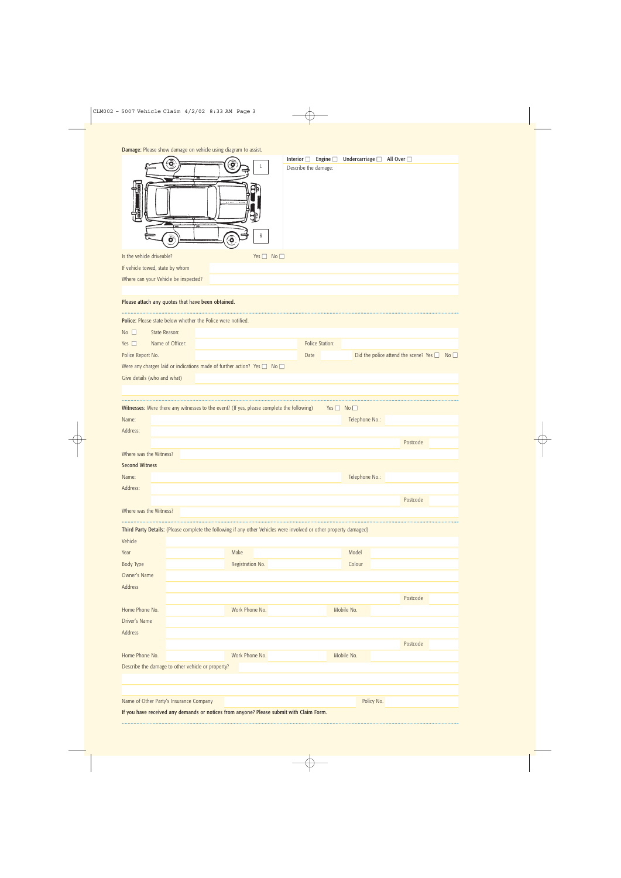| Damage: Please show damage on vehicle using diagram to assist. |  |  |  |  |
|----------------------------------------------------------------|--|--|--|--|
|----------------------------------------------------------------|--|--|--|--|

| <b>Damage:</b> Please show damage on venicle using diagram to assist.<br>Is the vehicle driveable?<br>If vehicle towed, state by whom<br>Where can your Vehicle be inspected?<br>Please attach any quotes that have been obtained. | O<br>ة           | ີອ<br>o          | R<br>Yes $\Box$ No $\Box$ | Interior $\square$ | Describe the damage: | Engine $\Box$        | Undercarriage   All Over |                                                       |  |
|------------------------------------------------------------------------------------------------------------------------------------------------------------------------------------------------------------------------------------|------------------|------------------|---------------------------|--------------------|----------------------|----------------------|--------------------------|-------------------------------------------------------|--|
| Police: Please state below whether the Police were notified.                                                                                                                                                                       |                  |                  |                           |                    |                      |                      |                          |                                                       |  |
| No                                                                                                                                                                                                                                 | State Reason:    |                  |                           |                    |                      |                      |                          |                                                       |  |
| Yes $\square$                                                                                                                                                                                                                      | Name of Officer: |                  |                           |                    | Police Station:      |                      |                          |                                                       |  |
| Police Report No.                                                                                                                                                                                                                  |                  |                  |                           |                    | Date                 |                      |                          | Did the police attend the scene? Yes $\Box$ No $\Box$ |  |
| Were any charges laid or indications made of further action? Yes $\Box$ No $\Box$                                                                                                                                                  |                  |                  |                           |                    |                      |                      |                          |                                                       |  |
| Give details (who and what)                                                                                                                                                                                                        |                  |                  |                           |                    |                      |                      |                          |                                                       |  |
|                                                                                                                                                                                                                                    |                  |                  |                           |                    |                      |                      |                          |                                                       |  |
| Witnesses: Were there any witnesses to the event? (If yes, please complete the following)                                                                                                                                          |                  |                  |                           |                    |                      | Yes $\Box$ No $\Box$ |                          |                                                       |  |
| Name:                                                                                                                                                                                                                              |                  |                  |                           |                    |                      |                      | Telephone No.:           |                                                       |  |
| Address:                                                                                                                                                                                                                           |                  |                  |                           |                    |                      |                      |                          |                                                       |  |
|                                                                                                                                                                                                                                    |                  |                  |                           |                    |                      |                      |                          | Postcode                                              |  |
| Where was the Witness?                                                                                                                                                                                                             |                  |                  |                           |                    |                      |                      |                          |                                                       |  |
| <b>Second Witness</b>                                                                                                                                                                                                              |                  |                  |                           |                    |                      |                      |                          |                                                       |  |
| Name:                                                                                                                                                                                                                              |                  |                  |                           |                    |                      |                      | Telephone No.:           |                                                       |  |
| Address:                                                                                                                                                                                                                           |                  |                  |                           |                    |                      |                      |                          |                                                       |  |
|                                                                                                                                                                                                                                    |                  |                  |                           |                    |                      |                      |                          | Postcode                                              |  |
| Where was the Witness?                                                                                                                                                                                                             |                  |                  |                           |                    |                      |                      |                          |                                                       |  |
|                                                                                                                                                                                                                                    |                  |                  |                           |                    |                      |                      |                          |                                                       |  |
| Third Party Details: (Please complete the following if any other Vehicles were involved or other property damaged)                                                                                                                 |                  |                  |                           |                    |                      |                      |                          |                                                       |  |
| Vehicle                                                                                                                                                                                                                            |                  |                  |                           |                    |                      |                      |                          |                                                       |  |
| Year                                                                                                                                                                                                                               |                  | Make             |                           |                    |                      |                      | Model                    |                                                       |  |
| <b>Body Type</b>                                                                                                                                                                                                                   |                  | Registration No. |                           |                    |                      |                      | Colour                   |                                                       |  |
| Owner's Name<br>Address                                                                                                                                                                                                            |                  |                  |                           |                    |                      |                      |                          |                                                       |  |
|                                                                                                                                                                                                                                    |                  |                  |                           |                    |                      |                      |                          | Postcode                                              |  |
| Home Phone No.                                                                                                                                                                                                                     |                  | Work Phone No.   |                           |                    |                      |                      | Mobile No.               |                                                       |  |
| Driver's Name                                                                                                                                                                                                                      |                  |                  |                           |                    |                      |                      |                          |                                                       |  |
| Address                                                                                                                                                                                                                            |                  |                  |                           |                    |                      |                      |                          |                                                       |  |
|                                                                                                                                                                                                                                    |                  |                  |                           |                    |                      |                      |                          | Postcode                                              |  |
| Home Phone No.                                                                                                                                                                                                                     |                  | Work Phone No.   |                           |                    |                      |                      | Mobile No.               |                                                       |  |
| Describe the damage to other vehicle or property?                                                                                                                                                                                  |                  |                  |                           |                    |                      |                      |                          |                                                       |  |
|                                                                                                                                                                                                                                    |                  |                  |                           |                    |                      |                      |                          |                                                       |  |
|                                                                                                                                                                                                                                    |                  |                  |                           |                    |                      |                      |                          |                                                       |  |
| Name of Other Party's Insurance Company                                                                                                                                                                                            |                  |                  |                           |                    |                      |                      | Policy No.               |                                                       |  |
| If you have received any demands or notices from anyone? Please submit with Claim Form.                                                                                                                                            |                  |                  |                           |                    |                      |                      |                          |                                                       |  |
|                                                                                                                                                                                                                                    |                  |                  |                           |                    |                      |                      |                          |                                                       |  |